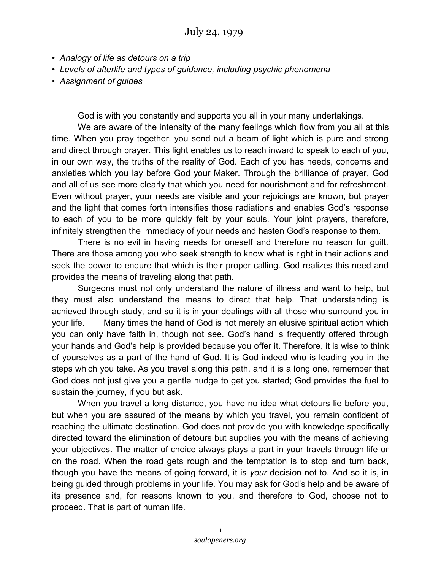- *Analogy of life as detours on a trip*
- *Levels of afterlife and types of guidance, including psychic phenomena*
- *Assignment of guides*

God is with you constantly and supports you all in your many undertakings.

We are aware of the intensity of the many feelings which flow from you all at this time. When you pray together, you send out a beam of light which is pure and strong and direct through prayer. This light enables us to reach inward to speak to each of you, in our own way, the truths of the reality of God. Each of you has needs, concerns and anxieties which you lay before God your Maker. Through the brilliance of prayer, God and all of us see more clearly that which you need for nourishment and for refreshment. Even without prayer, your needs are visible and your rejoicings are known, but prayer and the light that comes forth intensifies those radiations and enables God's response to each of you to be more quickly felt by your souls. Your joint prayers, therefore, infinitely strengthen the immediacy of your needs and hasten God's response to them.

There is no evil in having needs for oneself and therefore no reason for guilt. There are those among you who seek strength to know what is right in their actions and seek the power to endure that which is their proper calling. God realizes this need and provides the means of traveling along that path.

Surgeons must not only understand the nature of illness and want to help, but they must also understand the means to direct that help. That understanding is achieved through study, and so it is in your dealings with all those who surround you in your life. Many times the hand of God is not merely an elusive spiritual action which you can only have faith in, though not see. God's hand is frequently offered through your hands and God's help is provided because you offer it. Therefore, it is wise to think of yourselves as a part of the hand of God. It is God indeed who is leading you in the steps which you take. As you travel along this path, and it is a long one, remember that God does not just give you a gentle nudge to get you started; God provides the fuel to sustain the journey, if you but ask.

When you travel a long distance, you have no idea what detours lie before you, but when you are assured of the means by which you travel, you remain confident of reaching the ultimate destination. God does not provide you with knowledge specifically directed toward the elimination of detours but supplies you with the means of achieving your objectives. The matter of choice always plays a part in your travels through life or on the road. When the road gets rough and the temptation is to stop and turn back, though you have the means of going forward, it is *your* decision not to. And so it is, in being guided through problems in your life. You may ask for God's help and be aware of its presence and, for reasons known to you, and therefore to God, choose not to proceed. That is part of human life.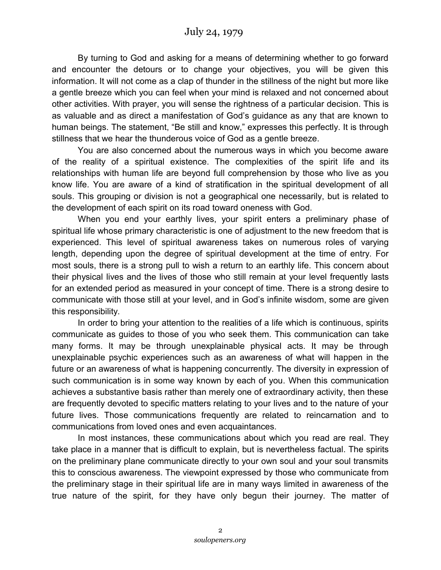By turning to God and asking for a means of determining whether to go forward and encounter the detours or to change your objectives, you will be given this information. It will not come as a clap of thunder in the stillness of the night but more like a gentle breeze which you can feel when your mind is relaxed and not concerned about other activities. With prayer, you will sense the rightness of a particular decision. This is as valuable and as direct a manifestation of God's guidance as any that are known to human beings. The statement, "Be still and know," expresses this perfectly. It is through stillness that we hear the thunderous voice of God as a gentle breeze.

You are also concerned about the numerous ways in which you become aware of the reality of a spiritual existence. The complexities of the spirit life and its relationships with human life are beyond full comprehension by those who live as you know life. You are aware of a kind of stratification in the spiritual development of all souls. This grouping or division is not a geographical one necessarily, but is related to the development of each spirit on its road toward oneness with God.

When you end your earthly lives, your spirit enters a preliminary phase of spiritual life whose primary characteristic is one of adjustment to the new freedom that is experienced. This level of spiritual awareness takes on numerous roles of varying length, depending upon the degree of spiritual development at the time of entry. For most souls, there is a strong pull to wish a return to an earthly life. This concern about their physical lives and the lives of those who still remain at your level frequently lasts for an extended period as measured in your concept of time. There is a strong desire to communicate with those still at your level, and in God's infinite wisdom, some are given this responsibility.

In order to bring your attention to the realities of a life which is continuous, spirits communicate as guides to those of you who seek them. This communication can take many forms. It may be through unexplainable physical acts. It may be through unexplainable psychic experiences such as an awareness of what will happen in the future or an awareness of what is happening concurrently. The diversity in expression of such communication is in some way known by each of you. When this communication achieves a substantive basis rather than merely one of extraordinary activity, then these are frequently devoted to specific matters relating to your lives and to the nature of your future lives. Those communications frequently are related to reincarnation and to communications from loved ones and even acquaintances.

In most instances, these communications about which you read are real. They take place in a manner that is difficult to explain, but is nevertheless factual. The spirits on the preliminary plane communicate directly to your own soul and your soul transmits this to conscious awareness. The viewpoint expressed by those who communicate from the preliminary stage in their spiritual life are in many ways limited in awareness of the true nature of the spirit, for they have only begun their journey. The matter of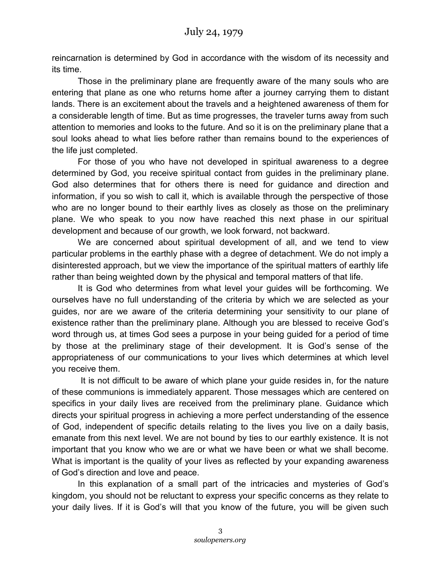reincarnation is determined by God in accordance with the wisdom of its necessity and its time.

Those in the preliminary plane are frequently aware of the many souls who are entering that plane as one who returns home after a journey carrying them to distant lands. There is an excitement about the travels and a heightened awareness of them for a considerable length of time. But as time progresses, the traveler turns away from such attention to memories and looks to the future. And so it is on the preliminary plane that a soul looks ahead to what lies before rather than remains bound to the experiences of the life just completed.

For those of you who have not developed in spiritual awareness to a degree determined by God, you receive spiritual contact from guides in the preliminary plane. God also determines that for others there is need for guidance and direction and information, if you so wish to call it, which is available through the perspective of those who are no longer bound to their earthly lives as closely as those on the preliminary plane. We who speak to you now have reached this next phase in our spiritual development and because of our growth, we look forward, not backward.

We are concerned about spiritual development of all, and we tend to view particular problems in the earthly phase with a degree of detachment. We do not imply a disinterested approach, but we view the importance of the spiritual matters of earthly life rather than being weighted down by the physical and temporal matters of that life.

It is God who determines from what level your guides will be forthcoming. We ourselves have no full understanding of the criteria by which we are selected as your guides, nor are we aware of the criteria determining your sensitivity to our plane of existence rather than the preliminary plane. Although you are blessed to receive God's word through us, at times God sees a purpose in your being guided for a period of time by those at the preliminary stage of their development. It is God's sense of the appropriateness of our communications to your lives which determines at which level you receive them.

 It is not difficult to be aware of which plane your guide resides in, for the nature of these communions is immediately apparent. Those messages which are centered on specifics in your daily lives are received from the preliminary plane. Guidance which directs your spiritual progress in achieving a more perfect understanding of the essence of God, independent of specific details relating to the lives you live on a daily basis, emanate from this next level. We are not bound by ties to our earthly existence. It is not important that you know who we are or what we have been or what we shall become. What is important is the quality of your lives as reflected by your expanding awareness of God's direction and love and peace.

In this explanation of a small part of the intricacies and mysteries of God's kingdom, you should not be reluctant to express your specific concerns as they relate to your daily lives. If it is God's will that you know of the future, you will be given such